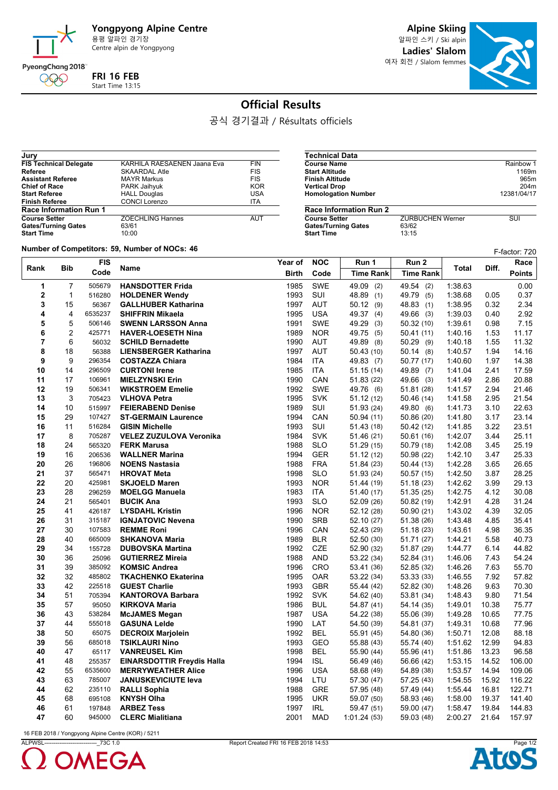

**Jury**

**FRI 16 FEB** Start Time 13:15

**Alpine Skiing** 알파인 스키 / Ski alpin

**Ladies' Slalom** 여자 회전 / Slalom femmes



## **Official Results**

공식 경기결과 / Résultats officiels

**Gates/Turning Gates Start Time** 

| JUI V                         |                             |            |
|-------------------------------|-----------------------------|------------|
| <b>FIS Technical Delegate</b> | KARHILA RAESAENEN Jaana Eva | <b>FIN</b> |
| Referee                       | <b>SKAARDAL Atle</b>        | <b>FIS</b> |
| <b>Assistant Referee</b>      | <b>MAYR Markus</b>          | <b>FIS</b> |
| <b>Chief of Race</b>          | PARK Jaihyuk                | <b>KOR</b> |
| <b>Start Referee</b>          | <b>HALL Douglas</b>         | USA        |
| <b>Finish Referee</b>         | <b>CONCI Lorenzo</b>        | <b>ITA</b> |
| <b>Race Information Run 1</b> |                             |            |
| <b>Course Setter</b>          | <b>ZOECHLING Hannes</b>     | AUT        |
| <b>Gates/Turning Gates</b>    | 63/61                       |            |
| <b>Start Time</b>             | 10:00                       |            |
|                               |                             |            |

**Technical Data Course Name** Rainbow 1<br> **Course Name** Rainbow 1<br> **Course Name** Rainbow 1<br> **Course Name** 1169m **Start Altitude 1169m**<br> **Start Altitude 1169m**<br> **Finish Altitude** 965m **Finish Altitude** 965m<br> **Vertical Drop**<br>
204m **Vertical Drop** 204m **Homologation Number Race Information Run 2**

**ZURBUCHEN Werner SUI**<br>63/62<br>13:15

|  | Number of Competitors: 59. Number of NOCs: 46. |
|--|------------------------------------------------|

|                | Number of Competitors: 59, Number of NOCs: 46<br>F-factor: 720 |            |                                   |              |            |                  |                  |         |       |               |  |
|----------------|----------------------------------------------------------------|------------|-----------------------------------|--------------|------------|------------------|------------------|---------|-------|---------------|--|
|                |                                                                | <b>FIS</b> |                                   | Year of      | <b>NOC</b> | Run 1            | Run <sub>2</sub> |         |       | Race          |  |
| Rank           | <b>Bib</b>                                                     | Code       | Name                              | <b>Birth</b> | Code       | <b>Time Rank</b> | <b>Time Rank</b> | Total   | Diff. | <b>Points</b> |  |
| 1              | 7                                                              | 505679     | <b>HANSDOTTER Frida</b>           | 1985         | SWE        | 49.09 (2)        | 49.54 (2)        | 1:38.63 |       | 0.00          |  |
| $\mathbf 2$    | 1                                                              | 516280     | <b>HOLDENER Wendy</b>             | 1993         | SUI        | 48.89 (1)        | 49.79 (5)        | 1:38.68 | 0.05  | 0.37          |  |
| 3              | 15                                                             | 56367      | <b>GALLHUBER Katharina</b>        | 1997         | AUT        | 50.12(9)         | 48.83 (1)        | 1:38.95 | 0.32  | 2.34          |  |
| 4              | 4                                                              | 6535237    | <b>SHIFFRIN Mikaela</b>           | 1995         | <b>USA</b> | 49.37 (4)        | 49.66 (3)        | 1:39.03 | 0.40  | 2.92          |  |
| 5              | 5                                                              | 506146     | <b>SWENN LARSSON Anna</b>         | 1991         | <b>SWE</b> | 49.29 (3)        | 50.32(10)        | 1:39.61 | 0.98  | 7.15          |  |
| 6              | 2                                                              | 425771     | <b>HAVER-LOESETH Nina</b>         | 1989         | <b>NOR</b> | 49.75 (5)        | 50.41(11)        | 1:40.16 | 1.53  | 11.17         |  |
| $\overline{7}$ | 6                                                              | 56032      | <b>SCHILD Bernadette</b>          | 1990         | <b>AUT</b> | 49.89 (8)        | 50.29 (9)        | 1:40.18 | 1.55  | 11.32         |  |
| 8              | 18                                                             | 56388      | <b>LIENSBERGER Katharina</b>      | 1997         | <b>AUT</b> | 50.43(10)        | 50.14(8)         | 1:40.57 | 1.94  | 14.16         |  |
| 9              | 9                                                              | 296354     | <b>COSTAZZA Chiara</b>            | 1984         | <b>ITA</b> | 49.83 (7)        | 50.77 (17)       | 1:40.60 | 1.97  | 14.38         |  |
| 10             | 14                                                             | 296509     | <b>CURTONI Irene</b>              | 1985         | <b>ITA</b> | 51.15(14)        | 49.89 (7)        | 1:41.04 | 2.41  | 17.59         |  |
| 11             | 17                                                             | 106961     | <b>MIELZYNSKI Erin</b>            | 1990         | CAN        | 51.83 (22)       | 49.66 (3)        | 1.41.49 | 2.86  | 20.88         |  |
| 12             | 19                                                             | 506341     | <b>WIKSTROEM Emelie</b>           | 1992         | <b>SWE</b> | 49.76 (6)        | 51.81 (28)       | 1:41.57 | 2.94  | 21.46         |  |
| 13             | 3                                                              | 705423     | <b>VLHOVA Petra</b>               | 1995         | <b>SVK</b> | 51.12(12)        | 50.46 (14)       | 1:41.58 | 2.95  | 21.54         |  |
| 14             | 10                                                             | 515997     | <b>FEIERABEND Denise</b>          | 1989         | SUI        | 51.93 (24)       | 49.80 (6)        | 1.41.73 | 3.10  | 22.63         |  |
| 15             | 29                                                             | 107427     | <b>ST-GERMAIN Laurence</b>        | 1994         | CAN        | 50.94(11)        | 50.86 (20)       | 1:41.80 | 3.17  | 23.14         |  |
| 16             | 11                                                             | 516284     | <b>GISIN Michelle</b>             | 1993         | SUI        | 51.43 (18)       | 50.42 (12)       | 1:41.85 | 3.22  | 23.51         |  |
| 17             | 8                                                              | 705287     | VELEZ ZUZULOVA Veronika           | 1984         | <b>SVK</b> | 51.46 (21)       | 50.61(16)        | 1:42.07 | 3.44  | 25.11         |  |
| 18             | 24                                                             | 565320     | <b>FERK Marusa</b>                | 1988         | <b>SLO</b> | 51.29(15)        | 50.79 (18)       | 1:42.08 | 3.45  | 25.19         |  |
| 19             | 16                                                             | 206536     | <b>WALLNER Marina</b>             | 1994         | <b>GER</b> | 51.12(12)        | 50.98 (22)       | 1:42.10 | 3.47  | 25.33         |  |
| 20             | 26                                                             | 196806     | <b>NOENS Nastasia</b>             | 1988         | <b>FRA</b> | 51.84 (23)       | 50.44 (13)       | 1:42.28 | 3.65  | 26.65         |  |
| 21             | 37                                                             | 565471     | <b>HROVAT Meta</b>                | 1998         | <b>SLO</b> | 51.93 (24)       | 50.57(15)        | 1:42.50 | 3.87  | 28.25         |  |
| 22             | 20                                                             | 425981     | <b>SKJOELD Maren</b>              | 1993         | <b>NOR</b> | 51.44 (19)       | 51.18(23)        | 1:42.62 | 3.99  | 29.13         |  |
| 23             | 28                                                             | 296259     | <b>MOELGG Manuela</b>             | 1983         | <b>ITA</b> | 51.40 (17)       | 51.35(25)        | 1:42.75 | 4.12  | 30.08         |  |
| 24             | 21                                                             | 565401     | <b>BUCIK Ana</b>                  | 1993         | <b>SLO</b> | 52.09 (26)       | 50.82 (19)       | 1.42.91 | 4.28  | 31.24         |  |
| 25             | 41                                                             | 426187     | <b>LYSDAHL Kristin</b>            | 1996         | <b>NOR</b> | 52.12 (28)       | 50.90(21)        | 1:43.02 | 4.39  | 32.05         |  |
| 26             | 31                                                             | 315187     | <b>IGNJATOVIC Nevena</b>          | 1990         | <b>SRB</b> | 52.10 (27)       | 51.38 (26)       | 1.43.48 | 4.85  | 35.41         |  |
| 27             | 30                                                             | 107583     | <b>REMME Roni</b>                 | 1996         | CAN        | 52.43 (29)       | 51.18(23)        | 1:43.61 | 4.98  | 36.35         |  |
| 28             | 40                                                             | 665009     | <b>SHKANOVA Maria</b>             | 1989         | <b>BLR</b> | 52.50 (30)       | 51.71 (27)       | 1:44.21 | 5.58  | 40.73         |  |
| 29             | 34                                                             | 155728     | <b>DUBOVSKA Martina</b>           | 1992         | <b>CZE</b> | 52.90 (32)       | 51.87 (29)       | 1:44.77 | 6.14  | 44.82         |  |
| 30             | 36                                                             | 25096      | <b>GUTIERREZ Mireia</b>           | 1988         | <b>AND</b> | 53.22 (34)       | 52.84 (31)       | 1:46.06 | 7.43  | 54.24         |  |
| 31             | 39                                                             | 385092     | <b>KOMSIC Andrea</b>              | 1996         | <b>CRO</b> | 53.41 (36)       | 52.85 (32)       | 1:46.26 | 7.63  | 55.70         |  |
| 32             | 32                                                             | 485802     | <b>TKACHENKO Ekaterina</b>        | 1995         | <b>OAR</b> | 53.22 (34)       | 53.33 (33)       | 1:46.55 | 7.92  | 57.82         |  |
| 33             | 42                                                             | 225518     | <b>GUEST Charlie</b>              | 1993         | GBR        | 55.44 (42)       | 52.82 (30)       | 1:48.26 | 9.63  | 70.30         |  |
| 34             | 51                                                             | 705394     | <b>KANTOROVA Barbara</b>          | 1992         | <b>SVK</b> | 54.62 (40)       | 53.81 (34)       | 1:48.43 | 9.80  | 71.54         |  |
| 35             | 57                                                             | 95050      | <b>KIRKOVA Maria</b>              | 1986         | <b>BUL</b> | 54.87 (41)       | 54.14 (35)       | 1:49.01 | 10.38 | 75.77         |  |
| 36             | 43                                                             | 538284     | <b>McJAMES Megan</b>              | 1987         | <b>USA</b> | 54.22 (38)       | 55.06 (39)       | 1:49.28 | 10.65 | 77.75         |  |
| 37             | 44                                                             | 555018     | <b>GASUNA Lelde</b>               | 1990         | LAT        | 54.50 (39)       | 54.81 (37)       | 1.49.31 | 10.68 | 77.96         |  |
| 38             | 50                                                             | 65075      | <b>DECROIX Marjolein</b>          | 1992         | <b>BEL</b> | 55.91 (45)       | 54.80 (36)       | 1:50.71 | 12.08 | 88.18         |  |
| 39             | 56                                                             | 685018     | <b>TSIKLAURI Nino</b>             | 1993         | <b>GEO</b> | 55.88 (43)       | 55.74 (40)       | 1:51.62 | 12.99 | 94.83         |  |
| 40             | 47                                                             | 65117      | <b>VANREUSEL Kim</b>              | 1998         | <b>BEL</b> | 55.90 (44)       | 55.96 (41)       | 1:51.86 | 13.23 | 96.58         |  |
| 41             | 48                                                             | 255357     | <b>EINARSDOTTIR Freydis Halla</b> | 1994         | <b>ISL</b> | 56.49 (46)       | 56.66 (42)       | 1:53.15 | 14.52 | 106.00        |  |
| 42             | 55                                                             | 6535600    | <b>MERRYWEATHER Alice</b>         | 1996         | <b>USA</b> | 58.68 (49)       | 54.89 (38)       | 1:53.57 | 14.94 | 109.06        |  |
| 43             | 63                                                             | 785007     | <b>JANUSKEVICIUTE leva</b>        | 1994         | LTU        | 57.30 (47)       | 57.25 (43)       | 1.54.55 | 15.92 | 116.22        |  |
| 44             | 62                                                             | 235110     | <b>RALLI Sophia</b>               | 1988         | GRE        | 57.95 (48)       | 57.49 (44)       | 1:55.44 | 16.81 | 122.71        |  |
| 45             | 68                                                             | 695108     | <b>KNYSH Olha</b>                 | 1995         | <b>UKR</b> | 59.07 (50)       | 58.93 (46)       | 1:58.00 | 19.37 | 141.40        |  |
| 46             | 61                                                             | 197848     | <b>ARBEZ Tess</b>                 | 1997         | <b>IRL</b> | 59.47 (51)       | 59.00 (47)       | 1:58.47 | 19.84 | 144.83        |  |
| 47             | 60                                                             | 945000     | <b>CLERC Mialitiana</b>           | 2001         | <b>MAD</b> | 1:01.24 (53)     | 59.03 (48)       | 2:00.27 | 21.64 | 157.97        |  |

16 FEB 2018 / Yongpyong Alpine Centre (KOR) / 5211